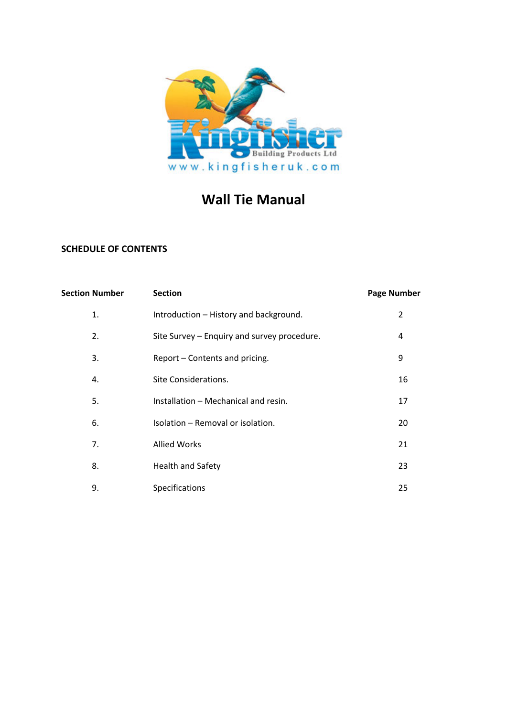

# **Wall Tie Manual**

# **SCHEDULE OF CONTENTS**

| <b>Section Number</b> | <b>Section</b>                              | <b>Page Number</b> |
|-----------------------|---------------------------------------------|--------------------|
| 1.                    | Introduction - History and background.      | 2                  |
| 2.                    | Site Survey - Enquiry and survey procedure. | 4                  |
| 3.                    | Report - Contents and pricing.              | 9                  |
| 4.                    | Site Considerations.                        | 16                 |
| 5.                    | Installation - Mechanical and resin.        | 17                 |
| 6.                    | Isolation - Removal or isolation.           | 20                 |
| 7.                    | <b>Allied Works</b>                         | 21                 |
| 8.                    | <b>Health and Safety</b>                    | 23                 |
| 9.                    | Specifications                              | 25                 |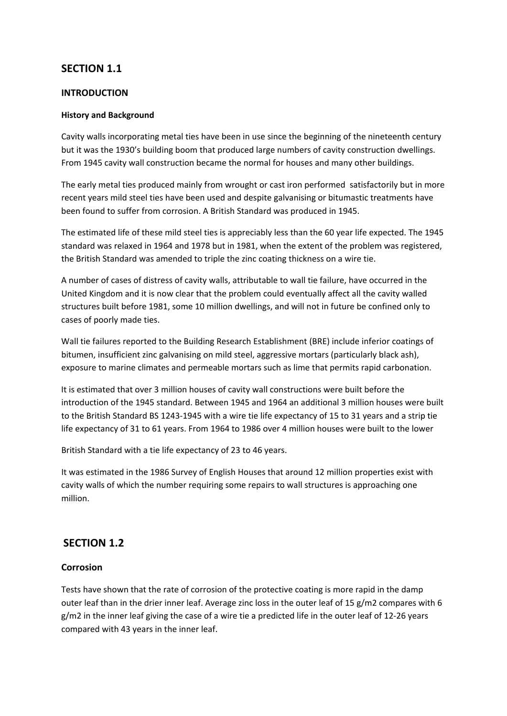# **SECTION 1.1**

### **INTRODUCTION**

#### **History and Background**

Cavity walls incorporating metal ties have been in use since the beginning of the nineteenth century but it was the 1930's building boom that produced large numbers of cavity construction dwellings. From 1945 cavity wall construction became the normal for houses and many other buildings.

The early metal ties produced mainly from wrought or cast iron performed satisfactorily but in more recent years mild steel ties have been used and despite galvanising or bitumastic treatments have been found to suffer from corrosion. A British Standard was produced in 1945.

The estimated life of these mild steel ties is appreciably less than the 60 year life expected. The 1945 standard was relaxed in 1964 and 1978 but in 1981, when the extent of the problem was registered, the British Standard was amended to triple the zinc coating thickness on a wire tie.

A number of cases of distress of cavity walls, attributable to wall tie failure, have occurred in the United Kingdom and it is now clear that the problem could eventually affect all the cavity walled structures built before 1981, some 10 million dwellings, and will not in future be confined only to cases of poorly made ties.

Wall tie failures reported to the Building Research Establishment (BRE) include inferior coatings of bitumen, insufficient zinc galvanising on mild steel, aggressive mortars (particularly black ash), exposure to marine climates and permeable mortars such as lime that permits rapid carbonation.

It is estimated that over 3 million houses of cavity wall constructions were built before the introduction of the 1945 standard. Between 1945 and 1964 an additional 3 million houses were built to the British Standard BS 1243‐1945 with a wire tie life expectancy of 15 to 31 years and a strip tie life expectancy of 31 to 61 years. From 1964 to 1986 over 4 million houses were built to the lower

British Standard with a tie life expectancy of 23 to 46 years.

It was estimated in the 1986 Survey of English Houses that around 12 million properties exist with cavity walls of which the number requiring some repairs to wall structures is approaching one million.

# **SECTION 1.2**

# **Corrosion**

Tests have shown that the rate of corrosion of the protective coating is more rapid in the damp outer leaf than in the drier inner leaf. Average zinc loss in the outer leaf of 15 g/m2 compares with 6 g/m2 in the inner leaf giving the case of a wire tie a predicted life in the outer leaf of 12‐26 years compared with 43 years in the inner leaf.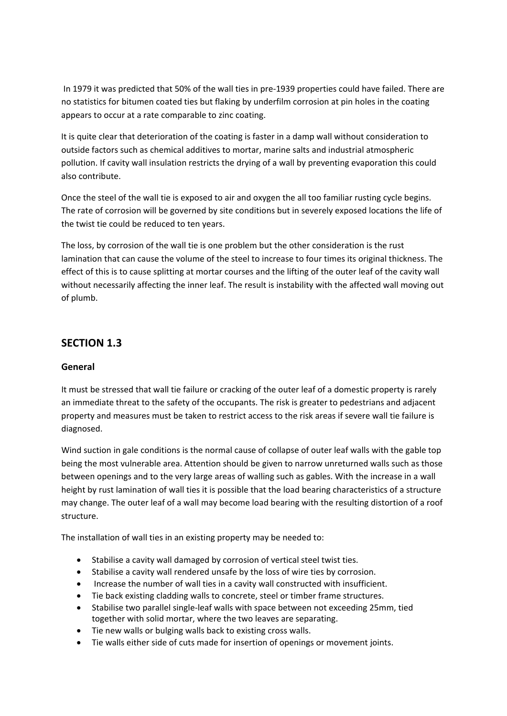In 1979 it was predicted that 50% of the wall ties in pre-1939 properties could have failed. There are no statistics for bitumen coated ties but flaking by underfilm corrosion at pin holes in the coating appears to occur at a rate comparable to zinc coating.

It is quite clear that deterioration of the coating is faster in a damp wall without consideration to outside factors such as chemical additives to mortar, marine salts and industrial atmospheric pollution. If cavity wall insulation restricts the drying of a wall by preventing evaporation this could also contribute.

Once the steel of the wall tie is exposed to air and oxygen the all too familiar rusting cycle begins. The rate of corrosion will be governed by site conditions but in severely exposed locations the life of the twist tie could be reduced to ten years.

The loss, by corrosion of the wall tie is one problem but the other consideration is the rust lamination that can cause the volume of the steel to increase to four times its original thickness. The effect of this is to cause splitting at mortar courses and the lifting of the outer leaf of the cavity wall without necessarily affecting the inner leaf. The result is instability with the affected wall moving out of plumb.

# **SECTION 1.3**

# **General**

It must be stressed that wall tie failure or cracking of the outer leaf of a domestic property is rarely an immediate threat to the safety of the occupants. The risk is greater to pedestrians and adjacent property and measures must be taken to restrict access to the risk areas if severe wall tie failure is diagnosed.

Wind suction in gale conditions is the normal cause of collapse of outer leaf walls with the gable top being the most vulnerable area. Attention should be given to narrow unreturned walls such as those between openings and to the very large areas of walling such as gables. With the increase in a wall height by rust lamination of wall ties it is possible that the load bearing characteristics of a structure may change. The outer leaf of a wall may become load bearing with the resulting distortion of a roof structure.

The installation of wall ties in an existing property may be needed to:

- Stabilise a cavity wall damaged by corrosion of vertical steel twist ties.
- Stabilise a cavity wall rendered unsafe by the loss of wire ties by corrosion.
- Increase the number of wall ties in a cavity wall constructed with insufficient.
- Tie back existing cladding walls to concrete, steel or timber frame structures.
- Stabilise two parallel single-leaf walls with space between not exceeding 25mm, tied together with solid mortar, where the two leaves are separating.
- Tie new walls or bulging walls back to existing cross walls.
- Tie walls either side of cuts made for insertion of openings or movement joints.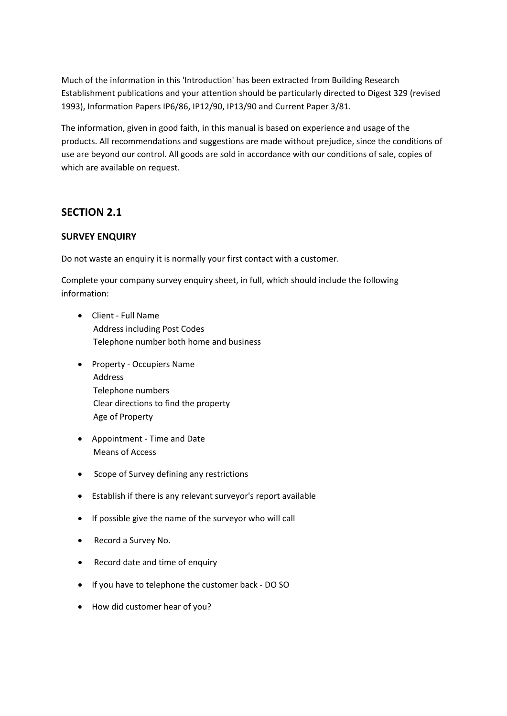Much of the information in this 'Introduction' has been extracted from Building Research Establishment publications and your attention should be particularly directed to Digest 329 (revised 1993), Information Papers IP6/86, IP12/90, IP13/90 and Current Paper 3/81.

The information, given in good faith, in this manual is based on experience and usage of the products. All recommendations and suggestions are made without prejudice, since the conditions of use are beyond our control. All goods are sold in accordance with our conditions of sale, copies of which are available on request.

# **SECTION 2.1**

# **SURVEY ENQUIRY**

Do not waste an enquiry it is normally your first contact with a customer.

Complete your company survey enquiry sheet, in full, which should include the following information:

- Client ‐ Full Name Address including Post Codes Telephone number both home and business
- Property ‐ Occupiers Name Address Telephone numbers Clear directions to find the property Age of Property
- Appointment ‐ Time and Date Means of Access
- Scope of Survey defining any restrictions
- Establish if there is any relevant surveyor's report available
- If possible give the name of the surveyor who will call
- Record a Survey No.
- Record date and time of enquiry
- If you have to telephone the customer back ‐ DO SO
- How did customer hear of you?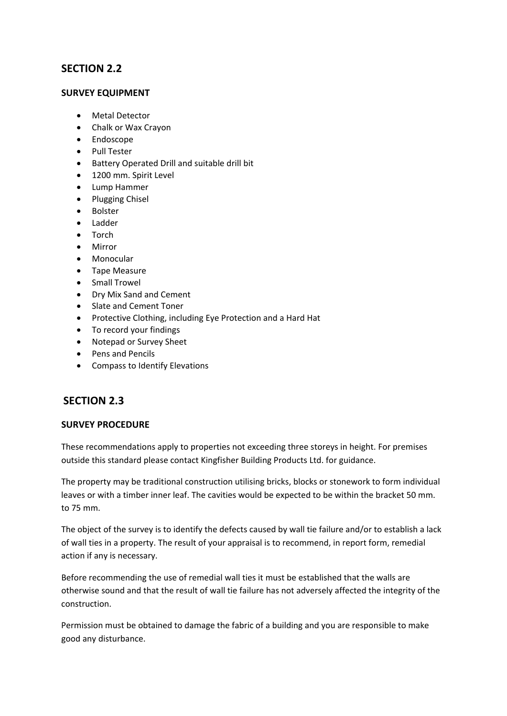# **SECTION 2.2**

# **SURVEY EQUIPMENT**

- Metal Detector
- Chalk or Wax Crayon
- Endoscope
- Pull Tester
- Battery Operated Drill and suitable drill bit
- 1200 mm. Spirit Level
- Lump Hammer
- Plugging Chisel
- Bolster
- Ladder
- Torch
- Mirror
- Monocular
- Tape Measure
- Small Trowel
- Dry Mix Sand and Cement
- Slate and Cement Toner
- Protective Clothing, including Eye Protection and a Hard Hat
- To record your findings
- Notepad or Survey Sheet
- Pens and Pencils
- Compass to Identify Elevations

# **SECTION 2.3**

# **SURVEY PROCEDURE**

These recommendations apply to properties not exceeding three storeys in height. For premises outside this standard please contact Kingfisher Building Products Ltd. for guidance.

The property may be traditional construction utilising bricks, blocks or stonework to form individual leaves or with a timber inner leaf. The cavities would be expected to be within the bracket 50 mm. to 75 mm.

The object of the survey is to identify the defects caused by wall tie failure and/or to establish a lack of wall ties in a property. The result of your appraisal is to recommend, in report form, remedial action if any is necessary.

Before recommending the use of remedial wall ties it must be established that the walls are otherwise sound and that the result of wall tie failure has not adversely affected the integrity of the construction.

Permission must be obtained to damage the fabric of a building and you are responsible to make good any disturbance.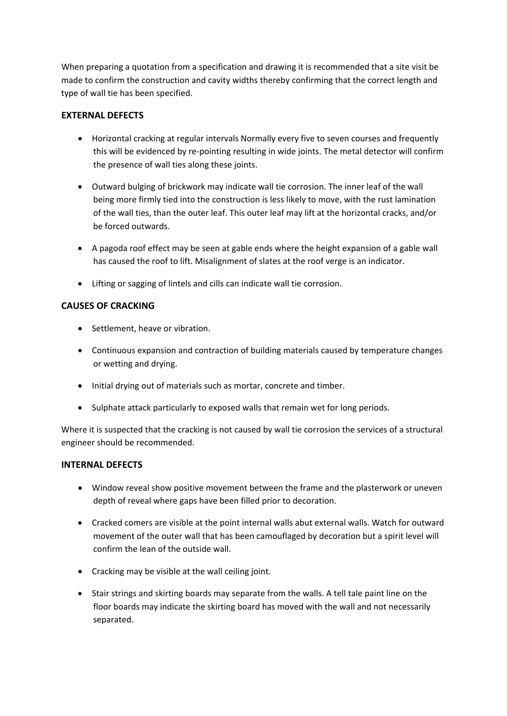When preparing a quotation from a specification and drawing it is recommended that a site visit be made to confirm the construction and cavity widths thereby confirming that the correct length and type of wall tie has been specified.

# **EXTERNAL DEFECTS**

- Horizontal cracking at regular intervals Normally every five to seven courses and frequently this will be evidenced by re‐pointing resulting in wide joints. The metal detector will confirm the presence of wall ties along these joints.
- Outward bulging of brickwork may indicate wall tie corrosion. The inner leaf of the wall being more firmly tied into the construction is less likely to move, with the rust lamination of the wall ties, than the outer leaf. This outer leaf may lift at the horizontal cracks, and/or be forced outwards.
- A pagoda roof effect may be seen at gable ends where the height expansion of a gable wall has caused the roof to lift. Misalignment of slates at the roof verge is an indicator.
- Lifting or sagging of lintels and cills can indicate wall tie corrosion.

# **CAUSES OF CRACKING**

- Settlement, heave or vibration.
- Continuous expansion and contraction of building materials caused by temperature changes or wetting and drying.
- Initial drying out of materials such as mortar, concrete and timber.
- Sulphate attack particularly to exposed walls that remain wet for long periods.

Where it is suspected that the cracking is not caused by wall tie corrosion the services of a structural engineer should be recommended.

# **INTERNAL DEFECTS**

- Window reveal show positive movement between the frame and the plasterwork or uneven depth of reveal where gaps have been filled prior to decoration.
- Cracked comers are visible at the point internal walls abut external walls. Watch for outward movement of the outer wall that has been camouflaged by decoration but a spirit level will confirm the lean of the outside wall.
- Cracking may be visible at the wall ceiling joint.
- Stair strings and skirting boards may separate from the walls. A tell tale paint line on the floor boards may indicate the skirting board has moved with the wall and not necessarily separated.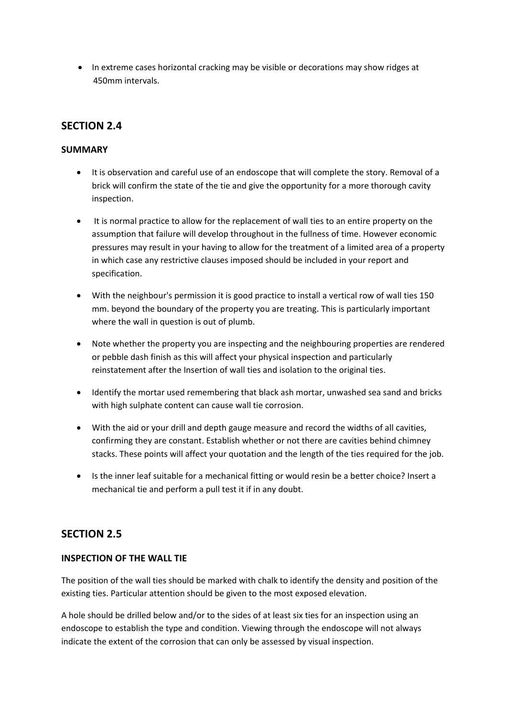• In extreme cases horizontal cracking may be visible or decorations may show ridges at 450mm intervals.

# **SECTION 2.4**

# **SUMMARY**

- It is observation and careful use of an endoscope that will complete the story. Removal of a brick will confirm the state of the tie and give the opportunity for a more thorough cavity inspection.
- It is normal practice to allow for the replacement of wall ties to an entire property on the assumption that failure will develop throughout in the fullness of time. However economic pressures may result in your having to allow for the treatment of a limited area of a property in which case any restrictive clauses imposed should be included in your report and specification.
- With the neighbour's permission it is good practice to install a vertical row of wall ties 150 mm. beyond the boundary of the property you are treating. This is particularly important where the wall in question is out of plumb.
- Note whether the property you are inspecting and the neighbouring properties are rendered or pebble dash finish as this will affect your physical inspection and particularly reinstatement after the Insertion of wall ties and isolation to the original ties.
- Identify the mortar used remembering that black ash mortar, unwashed sea sand and bricks with high sulphate content can cause wall tie corrosion.
- With the aid or your drill and depth gauge measure and record the widths of all cavities, confirming they are constant. Establish whether or not there are cavities behind chimney stacks. These points will affect your quotation and the length of the ties required for the job.
- Is the inner leaf suitable for a mechanical fitting or would resin be a better choice? Insert a mechanical tie and perform a pull test it if in any doubt.

# **SECTION 2.5**

# **INSPECTION OF THE WALL TIE**

The position of the wall ties should be marked with chalk to identify the density and position of the existing ties. Particular attention should be given to the most exposed elevation.

A hole should be drilled below and/or to the sides of at least six ties for an inspection using an endoscope to establish the type and condition. Viewing through the endoscope will not always indicate the extent of the corrosion that can only be assessed by visual inspection.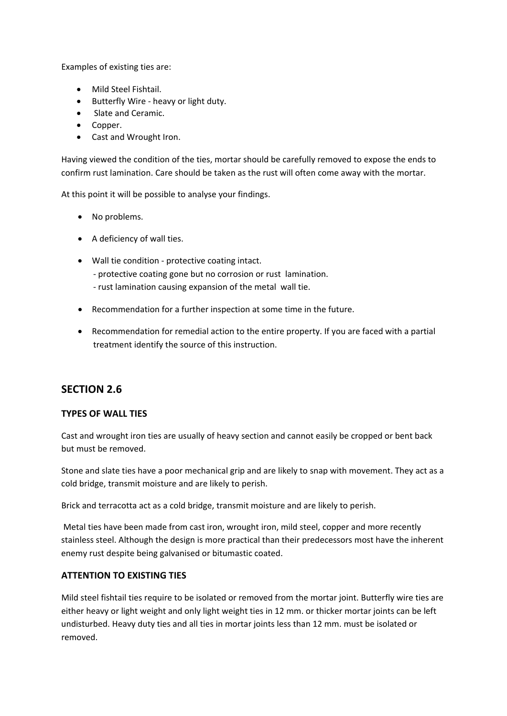Examples of existing ties are:

- Mild Steel Fishtail.
- Butterfly Wire ‐ heavy or light duty.
- Slate and Ceramic.
- Copper.
- Cast and Wrought Iron.

Having viewed the condition of the ties, mortar should be carefully removed to expose the ends to confirm rust lamination. Care should be taken as the rust will often come away with the mortar.

At this point it will be possible to analyse your findings.

- No problems.
- A deficiency of wall ties.
- Wall tie condition protective coating intact.
	- ‐ protective coating gone but no corrosion or rust lamination.
	- ‐ rust lamination causing expansion of the metal wall tie.
- Recommendation for a further inspection at some time in the future.
- Recommendation for remedial action to the entire property. If you are faced with a partial treatment identify the source of this instruction.

# **SECTION 2.6**

# **TYPES OF WALL TIES**

Cast and wrought iron ties are usually of heavy section and cannot easily be cropped or bent back but must be removed.

Stone and slate ties have a poor mechanical grip and are likely to snap with movement. They act as a cold bridge, transmit moisture and are likely to perish.

Brick and terracotta act as a cold bridge, transmit moisture and are likely to perish.

Metal ties have been made from cast iron, wrought iron, mild steel, copper and more recently stainless steel. Although the design is more practical than their predecessors most have the inherent enemy rust despite being galvanised or bitumastic coated.

# **ATTENTION TO EXISTING TIES**

Mild steel fishtail ties require to be isolated or removed from the mortar joint. Butterfly wire ties are either heavy or light weight and only light weight ties in 12 mm. or thicker mortar joints can be left undisturbed. Heavy duty ties and all ties in mortar joints less than 12 mm. must be isolated or removed.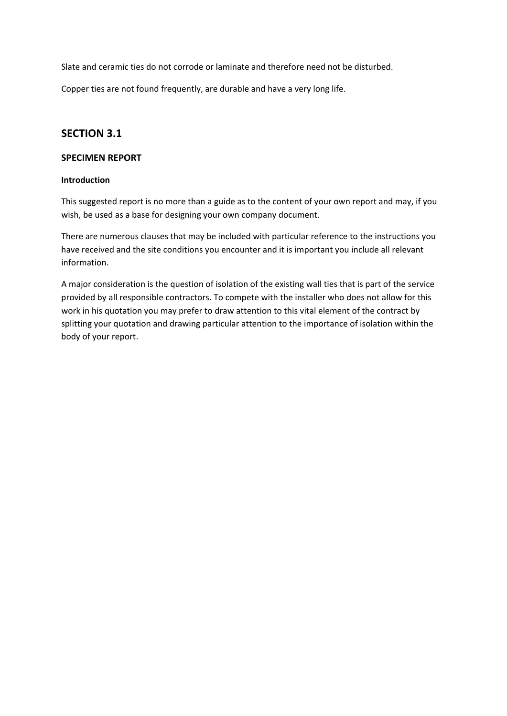Slate and ceramic ties do not corrode or laminate and therefore need not be disturbed.

Copper ties are not found frequently, are durable and have a very long life.

# **SECTION 3.1**

### **SPECIMEN REPORT**

#### **Introduction**

This suggested report is no more than a guide as to the content of your own report and may, if you wish, be used as a base for designing your own company document.

There are numerous clauses that may be included with particular reference to the instructions you have received and the site conditions you encounter and it is important you include all relevant information.

A major consideration is the question of isolation of the existing wall ties that is part of the service provided by all responsible contractors. To compete with the installer who does not allow for this work in his quotation you may prefer to draw attention to this vital element of the contract by splitting your quotation and drawing particular attention to the importance of isolation within the body of your report.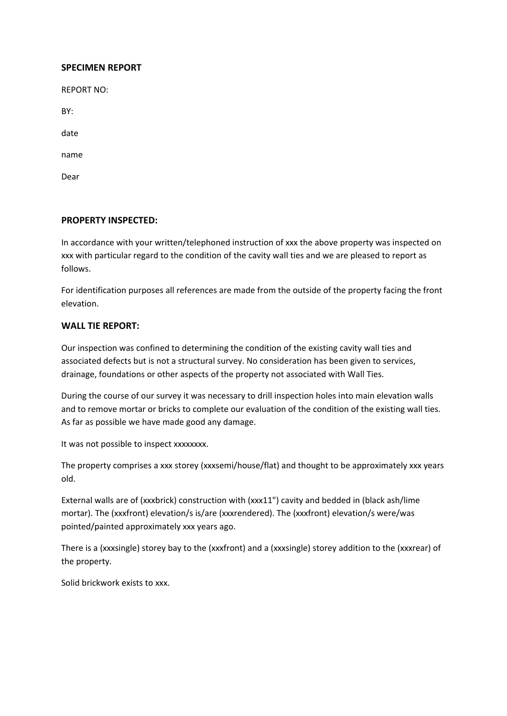#### **SPECIMEN REPORT**

REPORT NO:

BY:

date

name

Dear

### **PROPERTY INSPECTED:**

In accordance with your written/telephoned instruction of xxx the above property was inspected on xxx with particular regard to the condition of the cavity wall ties and we are pleased to report as follows.

For identification purposes all references are made from the outside of the property facing the front elevation.

### **WALL TIE REPORT:**

Our inspection was confined to determining the condition of the existing cavity wall ties and associated defects but is not a structural survey. No consideration has been given to services, drainage, foundations or other aspects of the property not associated with Wall Ties.

During the course of our survey it was necessary to drill inspection holes into main elevation walls and to remove mortar or bricks to complete our evaluation of the condition of the existing wall ties. As far as possible we have made good any damage.

It was not possible to inspect xxxxxxxx.

The property comprises a xxx storey (xxxsemi/house/flat) and thought to be approximately xxx years old.

External walls are of (xxxbrick) construction with (xxx11") cavity and bedded in (black ash/lime mortar). The (xxxfront) elevation/s is/are (xxxrendered). The (xxxfront) elevation/s were/was pointed/painted approximately xxx years ago.

There is a (xxxsingle) storey bay to the (xxxfront) and a (xxxsingle) storey addition to the (xxxrear) of the property.

Solid brickwork exists to xxx.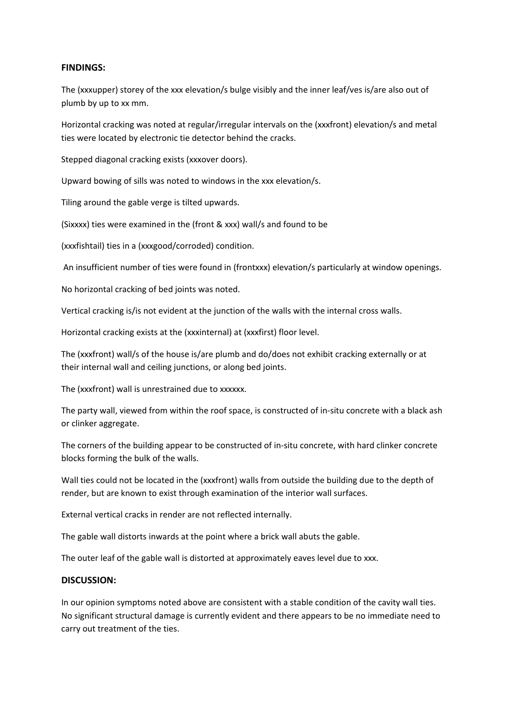### **FINDINGS:**

The (xxxupper) storey of the xxx elevation/s bulge visibly and the inner leaf/ves is/are also out of plumb by up to xx mm.

Horizontal cracking was noted at regular/irregular intervals on the (xxxfront) elevation/s and metal ties were located by electronic tie detector behind the cracks.

Stepped diagonal cracking exists (xxxover doors).

Upward bowing of sills was noted to windows in the xxx elevation/s.

Tiling around the gable verge is tilted upwards.

(Sixxxx) ties were examined in the (front & xxx) wall/s and found to be

(xxxfishtail) ties in a (xxxgood/corroded) condition.

An insufficient number of ties were found in (frontxxx) elevation/s particularly at window openings.

No horizontal cracking of bed joints was noted.

Vertical cracking is/is not evident at the junction of the walls with the internal cross walls.

Horizontal cracking exists at the (xxxinternal) at (xxxfirst) floor level.

The (xxxfront) wall/s of the house is/are plumb and do/does not exhibit cracking externally or at their internal wall and ceiling junctions, or along bed joints.

The (xxxfront) wall is unrestrained due to xxxxxx.

The party wall, viewed from within the roof space, is constructed of in‐situ concrete with a black ash or clinker aggregate.

The corners of the building appear to be constructed of in‐situ concrete, with hard clinker concrete blocks forming the bulk of the walls.

Wall ties could not be located in the (xxxfront) walls from outside the building due to the depth of render, but are known to exist through examination of the interior wall surfaces.

External vertical cracks in render are not reflected internally.

The gable wall distorts inwards at the point where a brick wall abuts the gable.

The outer leaf of the gable wall is distorted at approximately eaves level due to xxx.

#### **DISCUSSION:**

In our opinion symptoms noted above are consistent with a stable condition of the cavity wall ties. No significant structural damage is currently evident and there appears to be no immediate need to carry out treatment of the ties.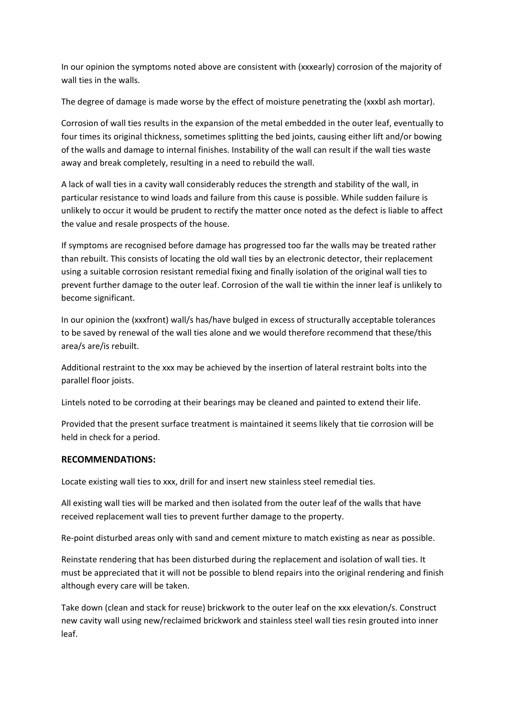In our opinion the symptoms noted above are consistent with (xxxearly) corrosion of the majority of wall ties in the walls.

The degree of damage is made worse by the effect of moisture penetrating the (xxxbl ash mortar).

Corrosion of wall ties results in the expansion of the metal embedded in the outer leaf, eventually to four times its original thickness, sometimes splitting the bed joints, causing either lift and/or bowing of the walls and damage to internal finishes. Instability of the wall can result if the wall ties waste away and break completely, resulting in a need to rebuild the wall.

A lack of wall ties in a cavity wall considerably reduces the strength and stability of the wall, in particular resistance to wind loads and failure from this cause is possible. While sudden failure is unlikely to occur it would be prudent to rectify the matter once noted as the defect is liable to affect the value and resale prospects of the house.

If symptoms are recognised before damage has progressed too far the walls may be treated rather than rebuilt. This consists of locating the old wall ties by an electronic detector, their replacement using a suitable corrosion resistant remedial fixing and finally isolation of the original wall ties to prevent further damage to the outer leaf. Corrosion of the wall tie within the inner leaf is unlikely to become significant.

In our opinion the (xxxfront) wall/s has/have bulged in excess of structurally acceptable tolerances to be saved by renewal of the wall ties alone and we would therefore recommend that these/this area/s are/is rebuilt.

Additional restraint to the xxx may be achieved by the insertion of lateral restraint bolts into the parallel floor joists.

Lintels noted to be corroding at their bearings may be cleaned and painted to extend their life.

Provided that the present surface treatment is maintained it seems likely that tie corrosion will be held in check for a period.

# **RECOMMENDATIONS:**

Locate existing wall ties to xxx, drill for and insert new stainless steel remedial ties.

All existing wall ties will be marked and then isolated from the outer leaf of the walls that have received replacement wall ties to prevent further damage to the property.

Re-point disturbed areas only with sand and cement mixture to match existing as near as possible.

Reinstate rendering that has been disturbed during the replacement and isolation of wall ties. It must be appreciated that it will not be possible to blend repairs into the original rendering and finish although every care will be taken.

Take down (clean and stack for reuse) brickwork to the outer leaf on the xxx elevation/s. Construct new cavity wall using new/reclaimed brickwork and stainless steel wall ties resin grouted into inner leaf.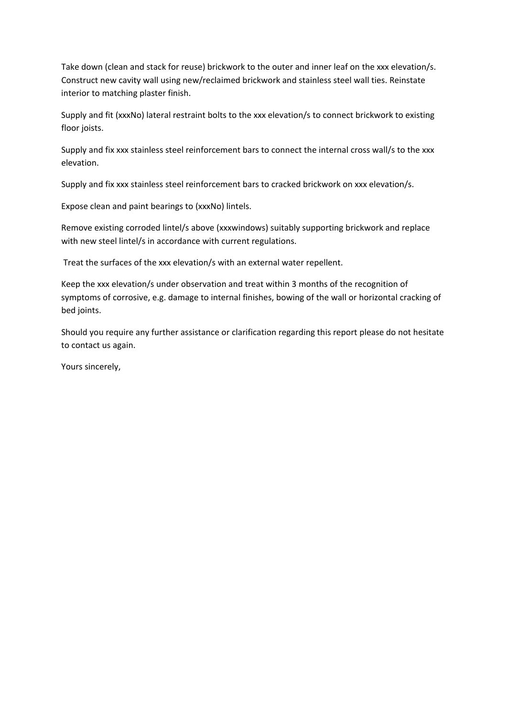Take down (clean and stack for reuse) brickwork to the outer and inner leaf on the xxx elevation/s. Construct new cavity wall using new/reclaimed brickwork and stainless steel wall ties. Reinstate interior to matching plaster finish.

Supply and fit (xxxNo) lateral restraint bolts to the xxx elevation/s to connect brickwork to existing floor joists.

Supply and fix xxx stainless steel reinforcement bars to connect the internal cross wall/s to the xxx elevation.

Supply and fix xxx stainless steel reinforcement bars to cracked brickwork on xxx elevation/s.

Expose clean and paint bearings to (xxxNo) lintels.

Remove existing corroded lintel/s above (xxxwindows) suitably supporting brickwork and replace with new steel lintel/s in accordance with current regulations.

Treat the surfaces of the xxx elevation/s with an external water repellent.

Keep the xxx elevation/s under observation and treat within 3 months of the recognition of symptoms of corrosive, e.g. damage to internal finishes, bowing of the wall or horizontal cracking of bed joints.

Should you require any further assistance or clarification regarding this report please do not hesitate to contact us again.

Yours sincerely,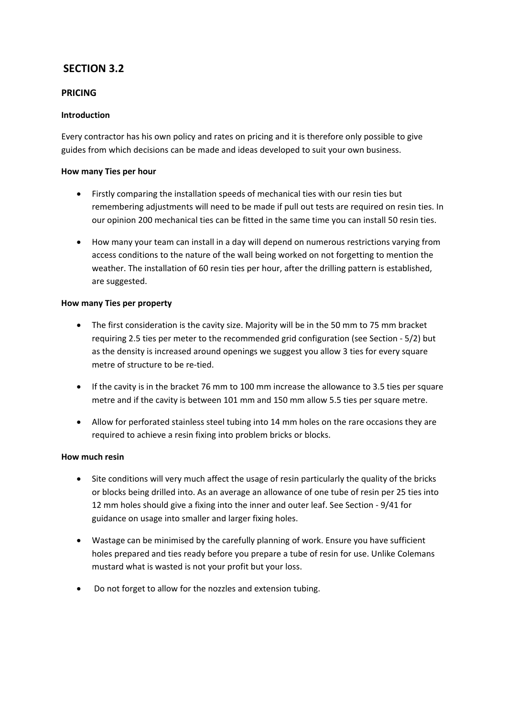# **SECTION 3.2**

# **PRICING**

# **Introduction**

Every contractor has his own policy and rates on pricing and it is therefore only possible to give guides from which decisions can be made and ideas developed to suit your own business.

# **How many Ties per hour**

- Firstly comparing the installation speeds of mechanical ties with our resin ties but remembering adjustments will need to be made if pull out tests are required on resin ties. In our opinion 200 mechanical ties can be fitted in the same time you can install 50 resin ties.
- How many your team can install in a day will depend on numerous restrictions varying from access conditions to the nature of the wall being worked on not forgetting to mention the weather. The installation of 60 resin ties per hour, after the drilling pattern is established, are suggested.

### **How many Ties per property**

- The first consideration is the cavity size. Majority will be in the 50 mm to 75 mm bracket requiring 2.5 ties per meter to the recommended grid configuration (see Section ‐ 5/2) but as the density is increased around openings we suggest you allow 3 ties for every square metre of structure to be re‐tied.
- If the cavity is in the bracket 76 mm to 100 mm increase the allowance to 3.5 ties per square metre and if the cavity is between 101 mm and 150 mm allow 5.5 ties per square metre.
- Allow for perforated stainless steel tubing into 14 mm holes on the rare occasions they are required to achieve a resin fixing into problem bricks or blocks.

#### **How much resin**

- Site conditions will very much affect the usage of resin particularly the quality of the bricks or blocks being drilled into. As an average an allowance of one tube of resin per 25 ties into 12 mm holes should give a fixing into the inner and outer leaf. See Section ‐ 9/41 for guidance on usage into smaller and larger fixing holes.
- Wastage can be minimised by the carefully planning of work. Ensure you have sufficient holes prepared and ties ready before you prepare a tube of resin for use. Unlike Colemans mustard what is wasted is not your profit but your loss.
- Do not forget to allow for the nozzles and extension tubing.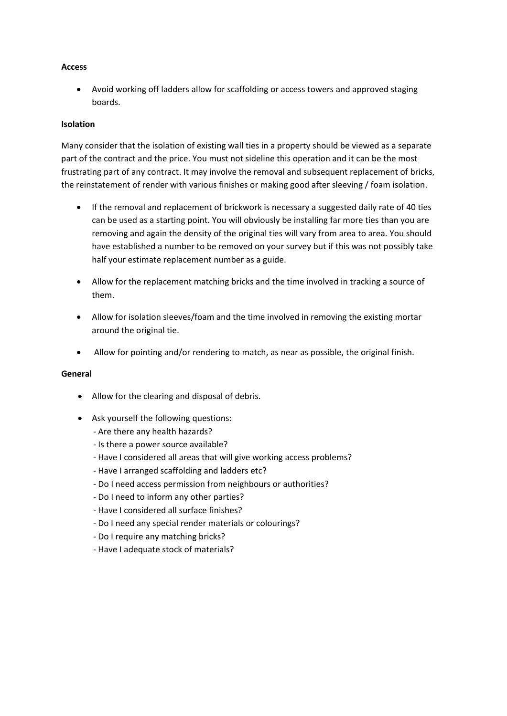#### **Access**

• Avoid working off ladders allow for scaffolding or access towers and approved staging boards.

#### **Isolation**

Many consider that the isolation of existing wall ties in a property should be viewed as a separate part of the contract and the price. You must not sideline this operation and it can be the most frustrating part of any contract. It may involve the removal and subsequent replacement of bricks, the reinstatement of render with various finishes or making good after sleeving / foam isolation.

- If the removal and replacement of brickwork is necessary a suggested daily rate of 40 ties can be used as a starting point. You will obviously be installing far more ties than you are removing and again the density of the original ties will vary from area to area. You should have established a number to be removed on your survey but if this was not possibly take half your estimate replacement number as a guide.
- Allow for the replacement matching bricks and the time involved in tracking a source of them.
- Allow for isolation sleeves/foam and the time involved in removing the existing mortar around the original tie.
- Allow for pointing and/or rendering to match, as near as possible, the original finish.

#### **General**

- Allow for the clearing and disposal of debris.
- Ask yourself the following questions:
	- ‐ Are there any health hazards?
	- ‐ Is there a power source available?
	- ‐ Have I considered all areas that will give working access problems?
	- ‐ Have I arranged scaffolding and ladders etc?
	- ‐ Do I need access permission from neighbours or authorities?
	- ‐ Do I need to inform any other parties?
	- ‐ Have I considered all surface finishes?
	- ‐ Do I need any special render materials or colourings?
	- ‐ Do I require any matching bricks?
	- ‐ Have I adequate stock of materials?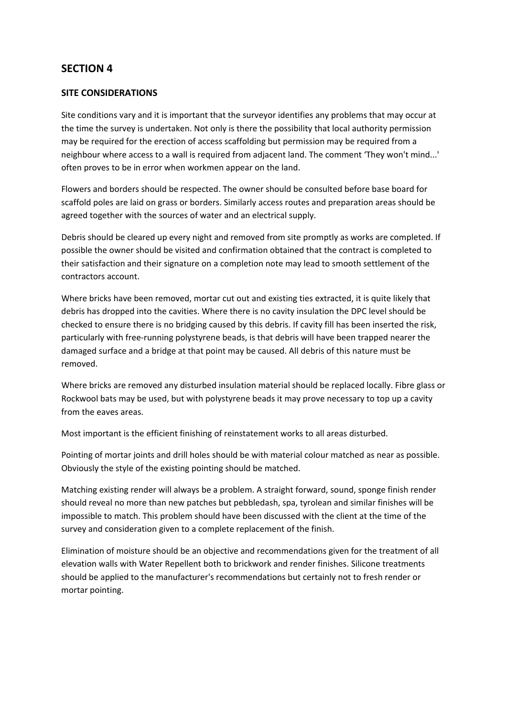# **SECTION 4**

### **SITE CONSIDERATIONS**

Site conditions vary and it is important that the surveyor identifies any problems that may occur at the time the survey is undertaken. Not only is there the possibility that local authority permission may be required for the erection of access scaffolding but permission may be required from a neighbour where access to a wall is required from adjacent land. The comment 'They won't mind...' often proves to be in error when workmen appear on the land.

Flowers and borders should be respected. The owner should be consulted before base board for scaffold poles are laid on grass or borders. Similarly access routes and preparation areas should be agreed together with the sources of water and an electrical supply.

Debris should be cleared up every night and removed from site promptly as works are completed. If possible the owner should be visited and confirmation obtained that the contract is completed to their satisfaction and their signature on a completion note may lead to smooth settlement of the contractors account.

Where bricks have been removed, mortar cut out and existing ties extracted, it is quite likely that debris has dropped into the cavities. Where there is no cavity insulation the DPC level should be checked to ensure there is no bridging caused by this debris. If cavity fill has been inserted the risk, particularly with free-running polystyrene beads, is that debris will have been trapped nearer the damaged surface and a bridge at that point may be caused. All debris of this nature must be removed.

Where bricks are removed any disturbed insulation material should be replaced locally. Fibre glass or Rockwool bats may be used, but with polystyrene beads it may prove necessary to top up a cavity from the eaves areas.

Most important is the efficient finishing of reinstatement works to all areas disturbed.

Pointing of mortar joints and drill holes should be with material colour matched as near as possible. Obviously the style of the existing pointing should be matched.

Matching existing render will always be a problem. A straight forward, sound, sponge finish render should reveal no more than new patches but pebbledash, spa, tyrolean and similar finishes will be impossible to match. This problem should have been discussed with the client at the time of the survey and consideration given to a complete replacement of the finish.

Elimination of moisture should be an objective and recommendations given for the treatment of all elevation walls with Water Repellent both to brickwork and render finishes. Silicone treatments should be applied to the manufacturer's recommendations but certainly not to fresh render or mortar pointing.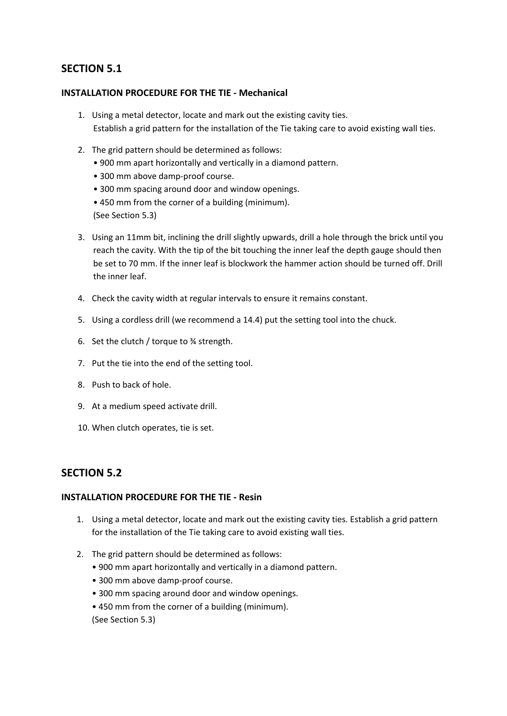# **SECTION 5.1**

### **INSTALLATION PROCEDURE FOR THE TIE ‐ Mechanical**

- 1. Using a metal detector, locate and mark out the existing cavity ties. Establish a grid pattern for the installation of the Tie taking care to avoid existing wall ties.
- 2. The grid pattern should be determined as follows:
	- 900 mm apart horizontally and vertically in a diamond pattern.
	- 300 mm above damp‐proof course.
	- 300 mm spacing around door and window openings.
	- 450 mm from the corner of a building (minimum).

(See Section 5.3)

- 3. Using an 11mm bit, inclining the drill slightly upwards, drill a hole through the brick until you reach the cavity. With the tip of the bit touching the inner leaf the depth gauge should then be set to 70 mm. If the inner leaf is blockwork the hammer action should be turned off. Drill the inner leaf.
- 4. Check the cavity width at regular intervals to ensure it remains constant.
- 5. Using a cordless drill (we recommend a 14.4) put the setting tool into the chuck.
- 6. Set the clutch / torque to ¾ strength.
- 7. Put the tie into the end of the setting tool.
- 8. Push to back of hole.
- 9. At a medium speed activate drill.
- 10. When clutch operates, tie is set.

# **SECTION 5.2**

# **INSTALLATION PROCEDURE FOR THE TIE ‐ Resin**

- 1. Using a metal detector, locate and mark out the existing cavity ties. Establish a grid pattern for the installation of the Tie taking care to avoid existing wall ties.
- 2. The grid pattern should be determined as follows:
	- 900 mm apart horizontally and vertically in a diamond pattern.
	- 300 mm above damp‐proof course.
	- 300 mm spacing around door and window openings.
	- 450 mm from the corner of a building (minimum).

(See Section 5.3)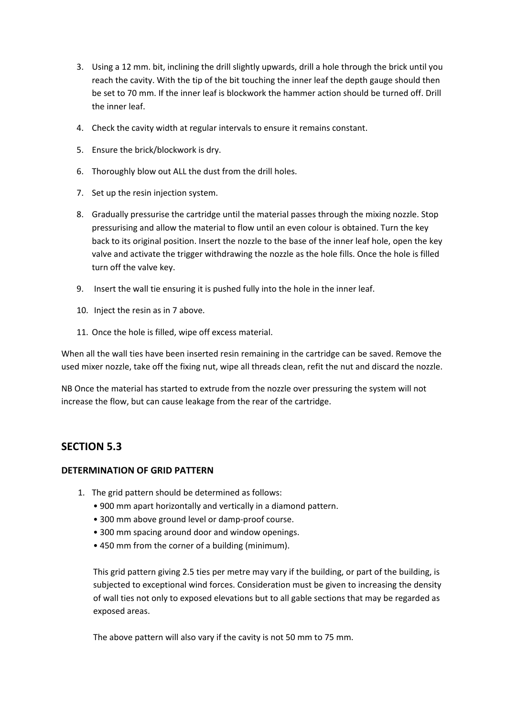- 3. Using a 12 mm. bit, inclining the drill slightly upwards, drill a hole through the brick until you reach the cavity. With the tip of the bit touching the inner leaf the depth gauge should then be set to 70 mm. If the inner leaf is blockwork the hammer action should be turned off. Drill the inner leaf.
- 4. Check the cavity width at regular intervals to ensure it remains constant.
- 5. Ensure the brick/blockwork is dry.
- 6. Thoroughly blow out ALL the dust from the drill holes.
- 7. Set up the resin injection system.
- 8. Gradually pressurise the cartridge until the material passes through the mixing nozzle. Stop pressurising and allow the material to flow until an even colour is obtained. Turn the key back to its original position. Insert the nozzle to the base of the inner leaf hole, open the key valve and activate the trigger withdrawing the nozzle as the hole fills. Once the hole is filled turn off the valve key.
- 9. Insert the wall tie ensuring it is pushed fully into the hole in the inner leaf.
- 10. Inject the resin as in 7 above.
- 11. Once the hole is filled, wipe off excess material.

When all the wall ties have been inserted resin remaining in the cartridge can be saved. Remove the used mixer nozzle, take off the fixing nut, wipe all threads clean, refit the nut and discard the nozzle.

NB Once the material has started to extrude from the nozzle over pressuring the system will not increase the flow, but can cause leakage from the rear of the cartridge.

# **SECTION 5.3**

# **DETERMINATION OF GRID PATTERN**

- 1. The grid pattern should be determined as follows:
	- 900 mm apart horizontally and vertically in a diamond pattern.
	- 300 mm above ground level or damp‐proof course.
	- 300 mm spacing around door and window openings.
	- 450 mm from the corner of a building (minimum).

This grid pattern giving 2.5 ties per metre may vary if the building, or part of the building, is subjected to exceptional wind forces. Consideration must be given to increasing the density of wall ties not only to exposed elevations but to all gable sections that may be regarded as exposed areas.

The above pattern will also vary if the cavity is not 50 mm to 75 mm.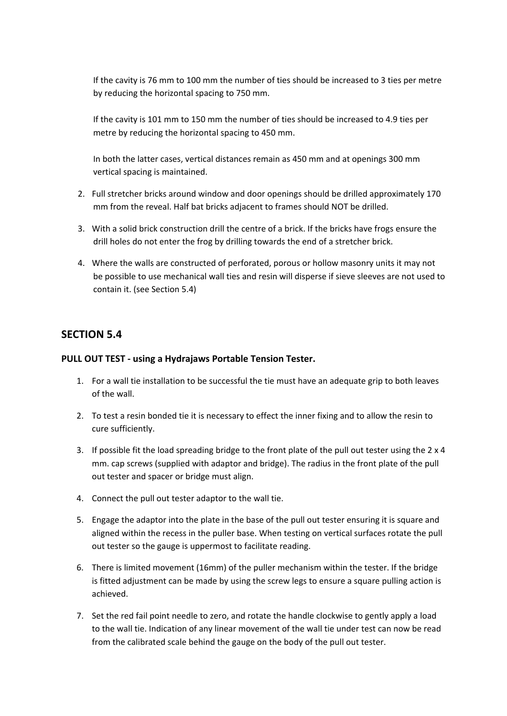If the cavity is 76 mm to 100 mm the number of ties should be increased to 3 ties per metre by reducing the horizontal spacing to 750 mm.

If the cavity is 101 mm to 150 mm the number of ties should be increased to 4.9 ties per metre by reducing the horizontal spacing to 450 mm.

In both the latter cases, vertical distances remain as 450 mm and at openings 300 mm vertical spacing is maintained.

- 2. Full stretcher bricks around window and door openings should be drilled approximately 170 mm from the reveal. Half bat bricks adjacent to frames should NOT be drilled.
- 3. With a solid brick construction drill the centre of a brick. If the bricks have frogs ensure the drill holes do not enter the frog by drilling towards the end of a stretcher brick.
- 4. Where the walls are constructed of perforated, porous or hollow masonry units it may not be possible to use mechanical wall ties and resin will disperse if sieve sleeves are not used to contain it. (see Section 5.4)

# **SECTION 5.4**

### **PULL OUT TEST ‐ using a Hydrajaws Portable Tension Tester.**

- 1. For a wall tie installation to be successful the tie must have an adequate grip to both leaves of the wall.
- 2. To test a resin bonded tie it is necessary to effect the inner fixing and to allow the resin to cure sufficiently.
- 3. If possible fit the load spreading bridge to the front plate of the pull out tester using the 2 x 4 mm. cap screws (supplied with adaptor and bridge). The radius in the front plate of the pull out tester and spacer or bridge must align.
- 4. Connect the pull out tester adaptor to the wall tie.
- 5. Engage the adaptor into the plate in the base of the pull out tester ensuring it is square and aligned within the recess in the puller base. When testing on vertical surfaces rotate the pull out tester so the gauge is uppermost to facilitate reading.
- 6. There is limited movement (16mm) of the puller mechanism within the tester. If the bridge is fitted adjustment can be made by using the screw legs to ensure a square pulling action is achieved.
- 7. Set the red fail point needle to zero, and rotate the handle clockwise to gently apply a load to the wall tie. Indication of any linear movement of the wall tie under test can now be read from the calibrated scale behind the gauge on the body of the pull out tester.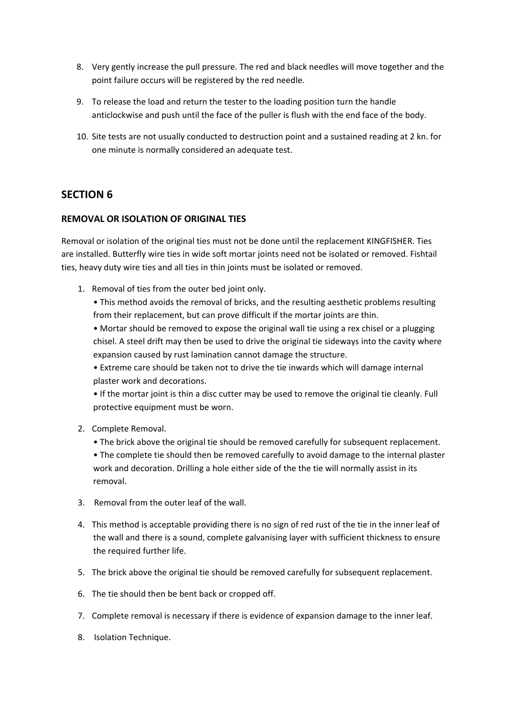- 8. Very gently increase the pull pressure. The red and black needles will move together and the point failure occurs will be registered by the red needle.
- 9. To release the load and return the tester to the loading position turn the handle anticlockwise and push until the face of the puller is flush with the end face of the body.
- 10. Site tests are not usually conducted to destruction point and a sustained reading at 2 kn. for one minute is normally considered an adequate test.

# **SECTION**<sub>6</sub>

# **REMOVAL OR ISOLATION OF ORIGINAL TIES**

Removal or isolation of the original ties must not be done until the replacement KINGFISHER. Ties are installed. Butterfly wire ties in wide soft mortar joints need not be isolated or removed. Fishtail ties, heavy duty wire ties and all ties in thin joints must be isolated or removed.

1. Removal of ties from the outer bed joint only.

• This method avoids the removal of bricks, and the resulting aesthetic problems resulting from their replacement, but can prove difficult if the mortar joints are thin.

• Mortar should be removed to expose the original wall tie using a rex chisel or a plugging chisel. A steel drift may then be used to drive the original tie sideways into the cavity where expansion caused by rust lamination cannot damage the structure.

• Extreme care should be taken not to drive the tie inwards which will damage internal plaster work and decorations.

• If the mortar joint is thin a disc cutter may be used to remove the original tie cleanly. Full protective equipment must be worn.

- 2. Complete Removal.
	- The brick above the original tie should be removed carefully for subsequent replacement.

• The complete tie should then be removed carefully to avoid damage to the internal plaster work and decoration. Drilling a hole either side of the the tie will normally assist in its removal.

- 3. Removal from the outer leaf of the wall.
- 4. This method is acceptable providing there is no sign of red rust of the tie in the inner leaf of the wall and there is a sound, complete galvanising layer with sufficient thickness to ensure the required further life.
- 5. The brick above the original tie should be removed carefully for subsequent replacement.
- 6. The tie should then be bent back or cropped off.
- 7. Complete removal is necessary if there is evidence of expansion damage to the inner leaf.
- 8. Isolation Technique.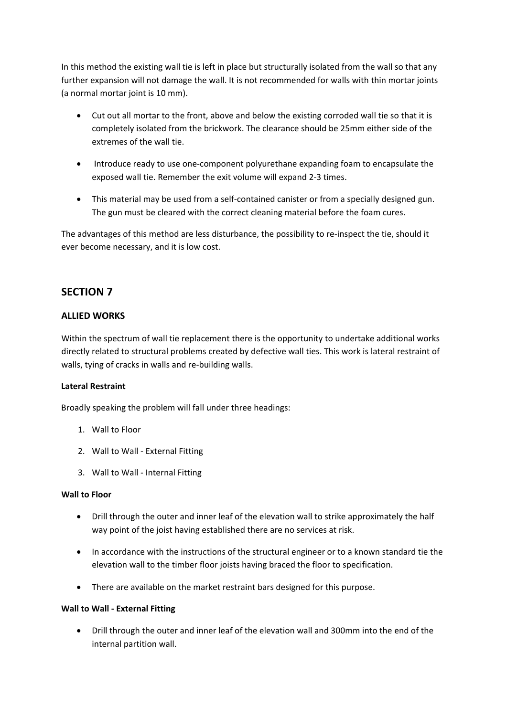In this method the existing wall tie is left in place but structurally isolated from the wall so that any further expansion will not damage the wall. It is not recommended for walls with thin mortar joints (a normal mortar joint is 10 mm).

- Cut out all mortar to the front, above and below the existing corroded wall tie so that it is completely isolated from the brickwork. The clearance should be 25mm either side of the extremes of the wall tie.
- Introduce ready to use one‐component polyurethane expanding foam to encapsulate the exposed wall tie. Remember the exit volume will expand 2‐3 times.
- This material may be used from a self‐contained canister or from a specially designed gun. The gun must be cleared with the correct cleaning material before the foam cures.

The advantages of this method are less disturbance, the possibility to re‐inspect the tie, should it ever become necessary, and it is low cost.

# **SECTION 7**

# **ALLIED WORKS**

Within the spectrum of wall tie replacement there is the opportunity to undertake additional works directly related to structural problems created by defective wall ties. This work is lateral restraint of walls, tying of cracks in walls and re-building walls.

# **Lateral Restraint**

Broadly speaking the problem will fall under three headings:

- 1. Wall to Floor
- 2. Wall to Wall ‐ External Fitting
- 3. Wall to Wall ‐ Internal Fitting

#### **Wall to Floor**

- Drill through the outer and inner leaf of the elevation wall to strike approximately the half way point of the joist having established there are no services at risk.
- In accordance with the instructions of the structural engineer or to a known standard tie the elevation wall to the timber floor joists having braced the floor to specification.
- There are available on the market restraint bars designed for this purpose.

#### **Wall to Wall ‐ External Fitting**

• Drill through the outer and inner leaf of the elevation wall and 300mm into the end of the internal partition wall.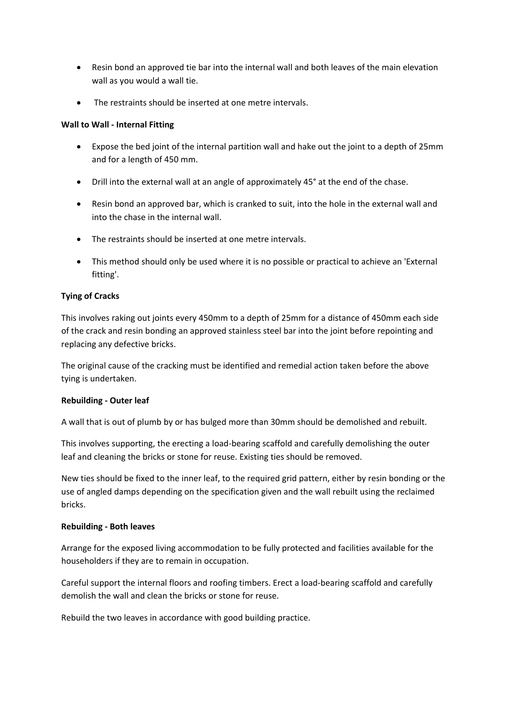- Resin bond an approved tie bar into the internal wall and both leaves of the main elevation wall as you would a wall tie.
- The restraints should be inserted at one metre intervals.

# **Wall to Wall ‐ Internal Fitting**

- Expose the bed joint of the internal partition wall and hake out the joint to a depth of 25mm and for a length of 450 mm.
- Drill into the external wall at an angle of approximately 45° at the end of the chase.
- Resin bond an approved bar, which is cranked to suit, into the hole in the external wall and into the chase in the internal wall.
- The restraints should be inserted at one metre intervals.
- This method should only be used where it is no possible or practical to achieve an 'External fitting'.

# **Tying of Cracks**

This involves raking out joints every 450mm to a depth of 25mm for a distance of 450mm each side of the crack and resin bonding an approved stainless steel bar into the joint before repointing and replacing any defective bricks.

The original cause of the cracking must be identified and remedial action taken before the above tying is undertaken.

# **Rebuilding ‐ Outer leaf**

A wall that is out of plumb by or has bulged more than 30mm should be demolished and rebuilt.

This involves supporting, the erecting a load‐bearing scaffold and carefully demolishing the outer leaf and cleaning the bricks or stone for reuse. Existing ties should be removed.

New ties should be fixed to the inner leaf, to the required grid pattern, either by resin bonding or the use of angled damps depending on the specification given and the wall rebuilt using the reclaimed bricks.

# **Rebuilding ‐ Both leaves**

Arrange for the exposed living accommodation to be fully protected and facilities available for the householders if they are to remain in occupation.

Careful support the internal floors and roofing timbers. Erect a load‐bearing scaffold and carefully demolish the wall and clean the bricks or stone for reuse.

Rebuild the two leaves in accordance with good building practice.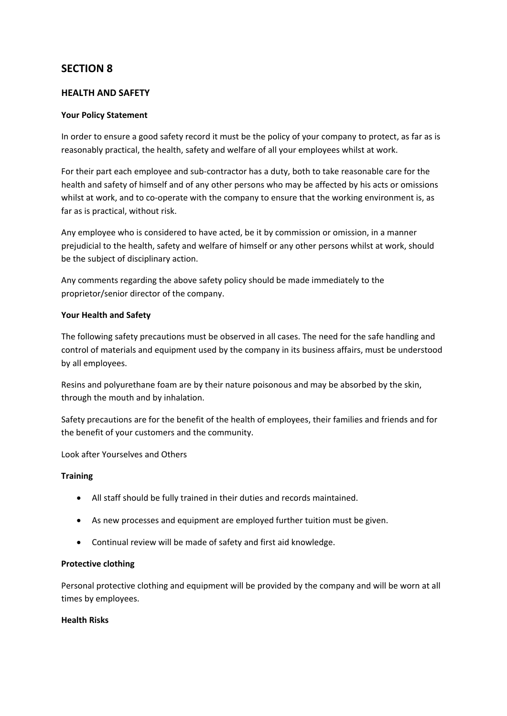# **SECTION 8**

### **HEALTH AND SAFETY**

#### **Your Policy Statement**

In order to ensure a good safety record it must be the policy of your company to protect, as far as is reasonably practical, the health, safety and welfare of all your employees whilst at work.

For their part each employee and sub-contractor has a duty, both to take reasonable care for the health and safety of himself and of any other persons who may be affected by his acts or omissions whilst at work, and to co-operate with the company to ensure that the working environment is, as far as is practical, without risk.

Any employee who is considered to have acted, be it by commission or omission, in a manner prejudicial to the health, safety and welfare of himself or any other persons whilst at work, should be the subject of disciplinary action.

Any comments regarding the above safety policy should be made immediately to the proprietor/senior director of the company.

### **Your Health and Safety**

The following safety precautions must be observed in all cases. The need for the safe handling and control of materials and equipment used by the company in its business affairs, must be understood by all employees.

Resins and polyurethane foam are by their nature poisonous and may be absorbed by the skin, through the mouth and by inhalation.

Safety precautions are for the benefit of the health of employees, their families and friends and for the benefit of your customers and the community.

Look after Yourselves and Others

#### **Training**

- All staff should be fully trained in their duties and records maintained.
- As new processes and equipment are employed further tuition must be given.
- Continual review will be made of safety and first aid knowledge.

#### **Protective clothing**

Personal protective clothing and equipment will be provided by the company and will be worn at all times by employees.

#### **Health Risks**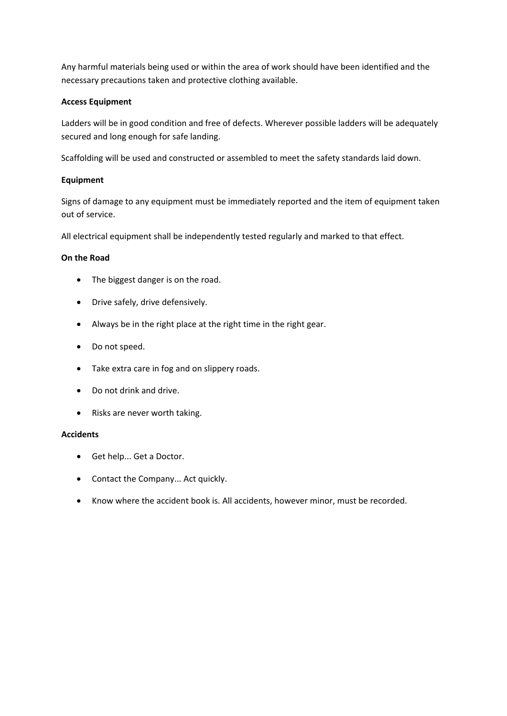Any harmful materials being used or within the area of work should have been identified and the necessary precautions taken and protective clothing available.

### **Access Equipment**

Ladders will be in good condition and free of defects. Wherever possible ladders will be adequately secured and long enough for safe landing.

Scaffolding will be used and constructed or assembled to meet the safety standards laid down.

### **Equipment**

Signs of damage to any equipment must be immediately reported and the item of equipment taken out of service.

All electrical equipment shall be independently tested regularly and marked to that effect.

### **On the Road**

- The biggest danger is on the road.
- Drive safely, drive defensively.
- Always be in the right place at the right time in the right gear.
- Do not speed.
- Take extra care in fog and on slippery roads.
- Do not drink and drive.
- Risks are never worth taking.

#### **Accidents**

- Get help... Get a Doctor.
- Contact the Company... Act quickly.
- Know where the accident book is. All accidents, however minor, must be recorded.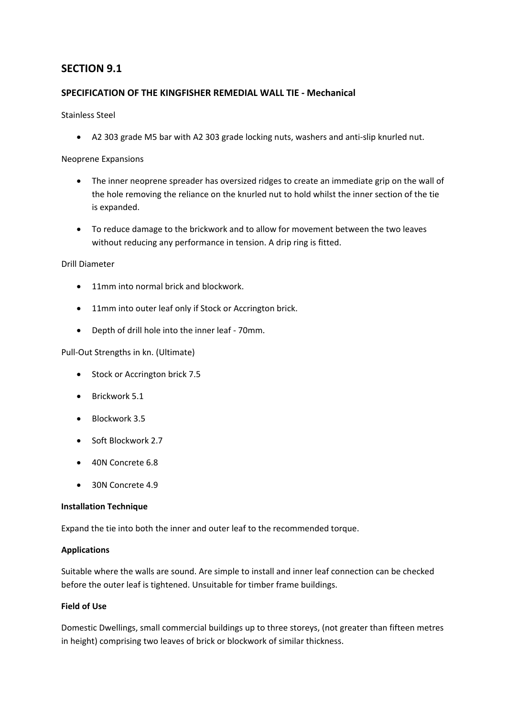# **SECTION 9.1**

### **SPECIFICATION OF THE KINGFISHER REMEDIAL WALL TIE ‐ Mechanical**

#### Stainless Steel

• A2 303 grade M5 bar with A2 303 grade locking nuts, washers and anti‐slip knurled nut.

### Neoprene Expansions

- The inner neoprene spreader has oversized ridges to create an immediate grip on the wall of the hole removing the reliance on the knurled nut to hold whilst the inner section of the tie is expanded.
- To reduce damage to the brickwork and to allow for movement between the two leaves without reducing any performance in tension. A drip ring is fitted.

#### Drill Diameter

- 11mm into normal brick and blockwork.
- 11mm into outer leaf only if Stock or Accrington brick.
- Depth of drill hole into the inner leaf ‐ 70mm.

#### Pull‐Out Strengths in kn. (Ultimate)

- Stock or Accrington brick 7.5
- Brickwork 5.1
- Blockwork 3.5
- Soft Blockwork 2.7
- 40N Concrete 6.8
- 30N Concrete 4.9

#### **Installation Technique**

Expand the tie into both the inner and outer leaf to the recommended torque.

#### **Applications**

Suitable where the walls are sound. Are simple to install and inner leaf connection can be checked before the outer leaf is tightened. Unsuitable for timber frame buildings.

#### **Field of Use**

Domestic Dwellings, small commercial buildings up to three storeys, (not greater than fifteen metres in height) comprising two leaves of brick or blockwork of similar thickness.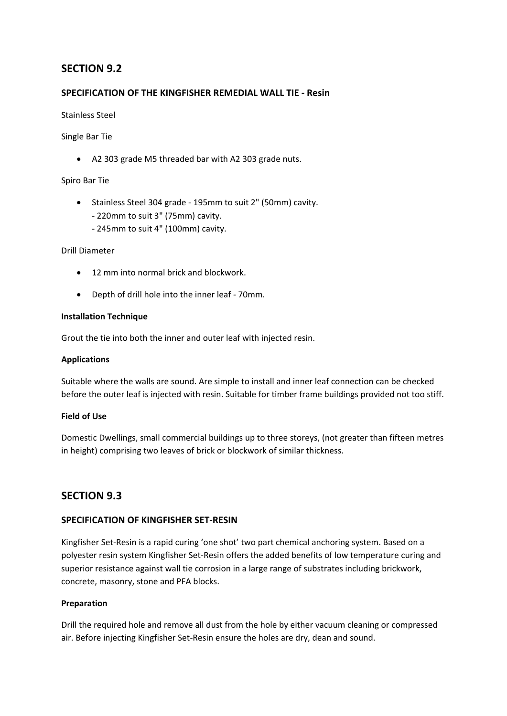# **SECTION 9.2**

### **SPECIFICATION OF THE KINGFISHER REMEDIAL WALL TIE ‐ Resin**

#### Stainless Steel

### Single Bar Tie

• A2 303 grade M5 threaded bar with A2 303 grade nuts.

### Spiro Bar Tie

- Stainless Steel 304 grade ‐ 195mm to suit 2" (50mm) cavity. ‐ 220mm to suit 3" (75mm) cavity.
	- ‐ 245mm to suit 4" (100mm) cavity.

### Drill Diameter

- 12 mm into normal brick and blockwork.
- Depth of drill hole into the inner leaf ‐ 70mm.

#### **Installation Technique**

Grout the tie into both the inner and outer leaf with injected resin.

#### **Applications**

Suitable where the walls are sound. Are simple to install and inner leaf connection can be checked before the outer leaf is injected with resin. Suitable for timber frame buildings provided not too stiff.

#### **Field of Use**

Domestic Dwellings, small commercial buildings up to three storeys, (not greater than fifteen metres in height) comprising two leaves of brick or blockwork of similar thickness.

# **SECTION 9.3**

# **SPECIFICATION OF KINGFISHER SET‐RESIN**

Kingfisher Set‐Resin is a rapid curing 'one shot' two part chemical anchoring system. Based on a polyester resin system Kingfisher Set‐Resin offers the added benefits of low temperature curing and superior resistance against wall tie corrosion in a large range of substrates including brickwork, concrete, masonry, stone and PFA blocks.

#### **Preparation**

Drill the required hole and remove all dust from the hole by either vacuum cleaning or compressed air. Before injecting Kingfisher Set‐Resin ensure the holes are dry, dean and sound.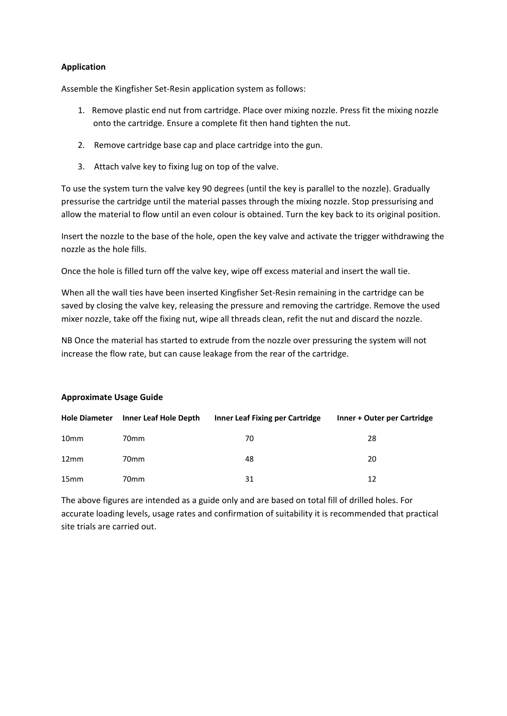### **Application**

Assemble the Kingfisher Set‐Resin application system as follows:

- 1. Remove plastic end nut from cartridge. Place over mixing nozzle. Press fit the mixing nozzle onto the cartridge. Ensure a complete fit then hand tighten the nut.
- 2. Remove cartridge base cap and place cartridge into the gun.
- 3. Attach valve key to fixing lug on top of the valve.

To use the system turn the valve key 90 degrees (until the key is parallel to the nozzle). Gradually pressurise the cartridge until the material passes through the mixing nozzle. Stop pressurising and allow the material to flow until an even colour is obtained. Turn the key back to its original position.

Insert the nozzle to the base of the hole, open the key valve and activate the trigger withdrawing the nozzle as the hole fills.

Once the hole is filled turn off the valve key, wipe off excess material and insert the wall tie.

When all the wall ties have been inserted Kingfisher Set‐Resin remaining in the cartridge can be saved by closing the valve key, releasing the pressure and removing the cartridge. Remove the used mixer nozzle, take off the fixing nut, wipe all threads clean, refit the nut and discard the nozzle.

NB Once the material has started to extrude from the nozzle over pressuring the system will not increase the flow rate, but can cause leakage from the rear of the cartridge.

#### **Approximate Usage Guide**

| <b>Hole Diameter</b> | Inner Leaf Hole Depth | <b>Inner Leaf Fixing per Cartridge</b> | Inner + Outer per Cartridge |
|----------------------|-----------------------|----------------------------------------|-----------------------------|
| 10 <sub>mm</sub>     | 70 <sub>mm</sub>      | 70                                     | 28                          |
| 12 <sub>mm</sub>     | 70 <sub>mm</sub>      | 48                                     | 20                          |
| 15 <sub>mm</sub>     | 70 <sub>mm</sub>      | 31                                     | 12                          |

The above figures are intended as a guide only and are based on total fill of drilled holes. For accurate loading levels, usage rates and confirmation of suitability it is recommended that practical site trials are carried out.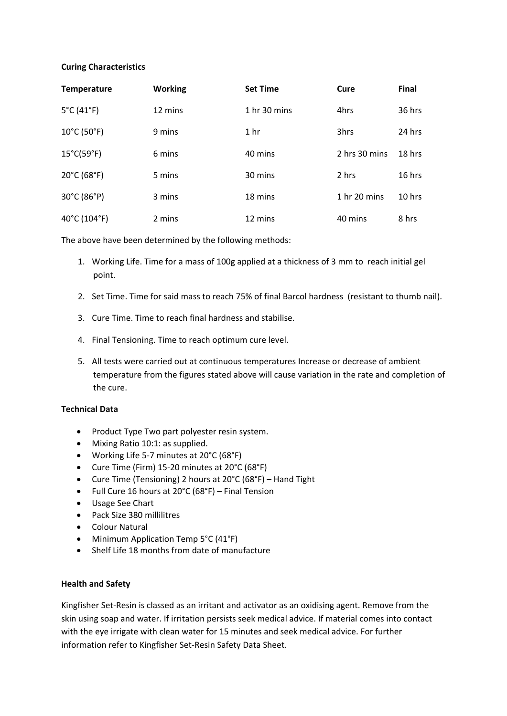#### **Curing Characteristics**

| <b>Temperature</b>               | <b>Working</b> | <b>Set Time</b>         | Cure                    | Final    |
|----------------------------------|----------------|-------------------------|-------------------------|----------|
| $5^{\circ}$ C (41 $^{\circ}$ F)  | 12 mins        | 1 <sub>hr</sub> 30 mins | 4hrs                    | 36 hrs   |
| $10^{\circ}$ C (50 $^{\circ}$ F) | 9 mins         | 1 <sub>hr</sub>         | 3hrs                    | 24 hrs   |
| $15^{\circ}$ C(59 $^{\circ}$ F)  | 6 mins         | 40 mins                 | 2 hrs 30 mins           | $18$ hrs |
| $20^{\circ}$ C (68 $^{\circ}$ F) | 5 mins         | 30 mins                 | 2 hrs                   | 16 hrs   |
| 30°C (86°P)                      | 3 mins         | 18 mins                 | 1 <sub>hr</sub> 20 mins | $10$ hrs |
| 40°C (104°F)                     | 2 mins         | 12 mins                 | 40 mins                 | 8 hrs    |

The above have been determined by the following methods:

- 1. Working Life. Time for a mass of 100g applied at a thickness of 3 mm to reach initial gel point.
- 2. Set Time. Time for said mass to reach 75% of final Barcol hardness (resistant to thumb nail).
- 3. Cure Time. Time to reach final hardness and stabilise.
- 4. Final Tensioning. Time to reach optimum cure level.
- 5. All tests were carried out at continuous temperatures Increase or decrease of ambient temperature from the figures stated above will cause variation in the rate and completion of the cure.

#### **Technical Data**

- Product Type Two part polyester resin system.
- Mixing Ratio 10:1: as supplied.
- Working Life 5‐7 minutes at 20°C (68°F)
- Cure Time (Firm) 15‐20 minutes at 20°C (68°F)
- Cure Time (Tensioning) 2 hours at 20°C (68°F) Hand Tight
- Full Cure 16 hours at 20°C (68°F) Final Tension
- Usage See Chart
- Pack Size 380 millilitres
- Colour Natural
- Minimum Application Temp 5°C (41°F)
- Shelf Life 18 months from date of manufacture

#### **Health and Safety**

Kingfisher Set‐Resin is classed as an irritant and activator as an oxidising agent. Remove from the skin using soap and water. If irritation persists seek medical advice. If material comes into contact with the eye irrigate with clean water for 15 minutes and seek medical advice. For further information refer to Kingfisher Set‐Resin Safety Data Sheet.